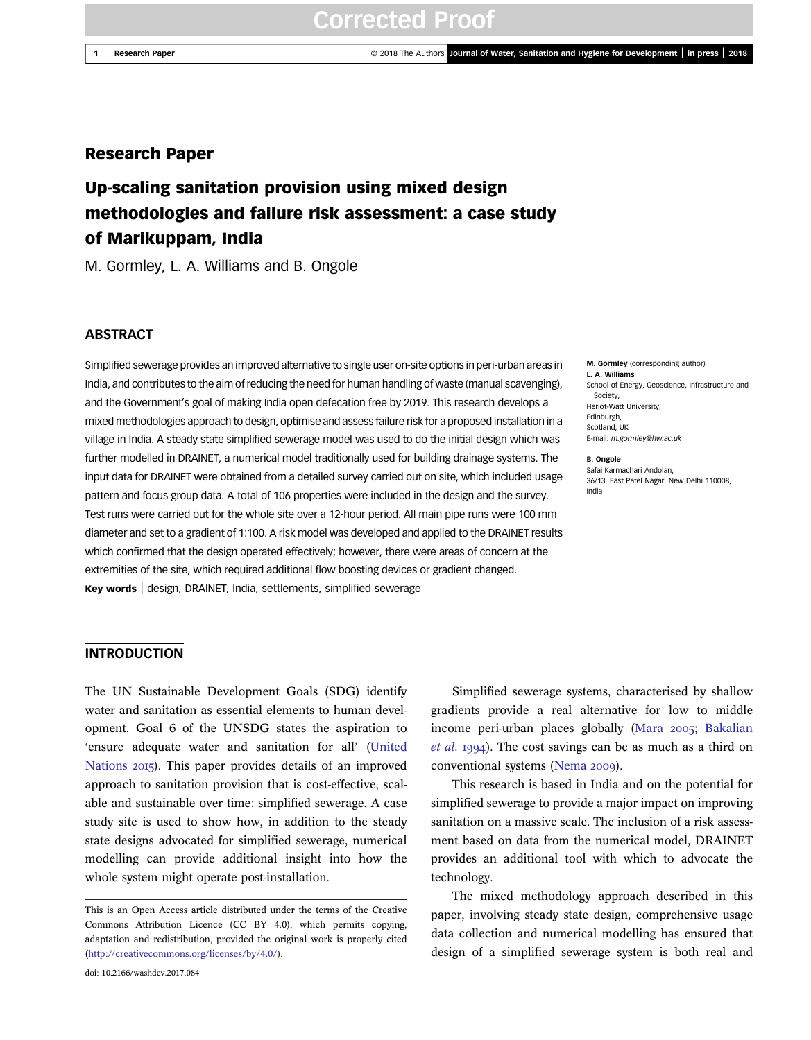1 Research Paper © 2018 The Authors Journal of Water, Sanitation and Hygiene for Development | in press | 2018

## Research Paper

# Up-scaling sanitation provision using mixed design methodologies and failure risk assessment: a case study of Marikuppam, India

M. Gormley, L. A. Williams and B. Ongole

#### **ABSTRACT**

Simplified sewerage provides an improved alternative to single user on-site options in peri-urban areas in India, and contributes to the aim of reducing the need for human handling of waste (manual scavenging), and the Government's goal of making India open defecation free by 2019. This research develops a mixed methodologies approach to design, optimise and assess failure risk for a proposed installation in a village in India. A steady state simplified sewerage model was used to do the initial design which was further modelled in DRAINET, a numerical model traditionally used for building drainage systems. The input data for DRAINET were obtained from a detailed survey carried out on site, which included usage pattern and focus group data. A total of 106 properties were included in the design and the survey. Test runs were carried out for the whole site over a 12-hour period. All main pipe runs were 100 mm diameter and set to a gradient of 1:100. A risk model was developed and applied to the DRAINET results which confirmed that the design operated effectively; however, there were areas of concern at the extremities of the site, which required additional flow boosting devices or gradient changed. Key words | design, DRAINET, India, settlements, simplified sewerage

#### M. Gormley (corresponding author) L. A. Williams School of Energy, Geoscience, Infrastructure and Society, Heriot-Watt University, Edinburgh, Scotland, UK E-mail: [m.gormley@hw.ac.uk](mailto:m.gormley@hw.ac.uk)

B. Ongole Safai Karmachari Andolan,

36/13, East Patel Nagar, New Delhi 110008, India

## **INTRODUCTION**

The UN Sustainable Development Goals (SDG) identify water and sanitation as essential elements to human development. Goal 6 of the UNSDG states the aspiration to 'ensure adequate water and sanitation for all' [\(United](#page-10-0) [Nations](#page-10-0) 2015). This paper provides details of an improved approach to sanitation provision that is cost-effective, scalable and sustainable over time: simplified sewerage. A case study site is used to show how, in addition to the steady state designs advocated for simplified sewerage, numerical modelling can provide additional insight into how the whole system might operate post-installation.

Simplified sewerage systems, characterised by shallow gradients provide a real alternative for low to middle income peri-urban places globally [\(Mara](#page-10-0) 2005; [Bakalian](#page-10-0) [et al.](#page-10-0) 1994). The cost savings can be as much as a third on conventional systems ([Nema](#page-10-0) 2009).

This research is based in India and on the potential for simplified sewerage to provide a major impact on improving sanitation on a massive scale. The inclusion of a risk assessment based on data from the numerical model, DRAINET provides an additional tool with which to advocate the technology.

The mixed methodology approach described in this paper, involving steady state design, comprehensive usage data collection and numerical modelling has ensured that design of a simplified sewerage system is both real and

This is an Open Access article distributed under the terms of the Creative Commons Attribution Licence (CC BY 4.0), which permits copying, adaptation and redistribution, provided the original work is properly cited [\(http://creativecommons.org/licenses/by/4.0/](http://creativecommons.org/licenses/by/4.0/)).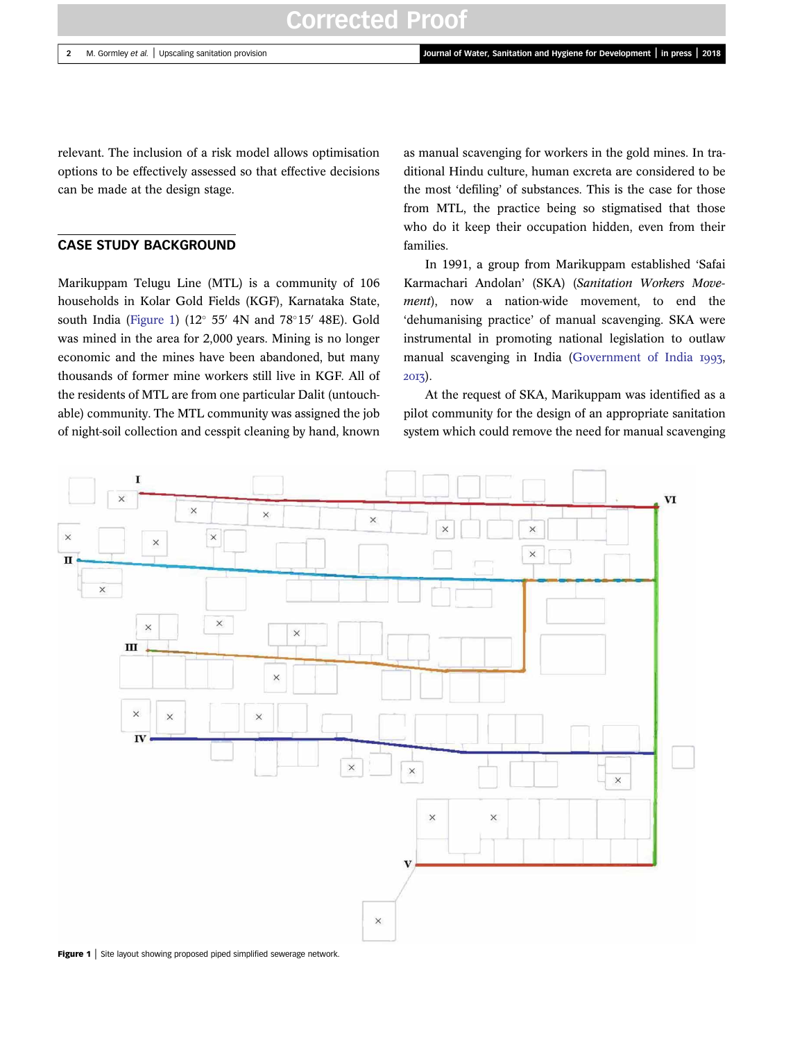<span id="page-1-0"></span>relevant. The inclusion of a risk model allows optimisation options to be effectively assessed so that effective decisions can be made at the design stage.

## CASE STUDY BACKGROUND

Marikuppam Telugu Line (MTL) is a community of 106 households in Kolar Gold Fields (KGF), Karnataka State, south India (Figure 1) (12 $\degree$  55' 4N and 78 $\degree$ 15' 48E). Gold was mined in the area for 2,000 years. Mining is no longer economic and the mines have been abandoned, but many thousands of former mine workers still live in KGF. All of the residents of MTL are from one particular Dalit (untouchable) community. The MTL community was assigned the job of night-soil collection and cesspit cleaning by hand, known as manual scavenging for workers in the gold mines. In traditional Hindu culture, human excreta are considered to be the most 'defiling' of substances. This is the case for those from MTL, the practice being so stigmatised that those who do it keep their occupation hidden, even from their families.

In 1991, a group from Marikuppam established 'Safai Karmachari Andolan' (SKA) (Sanitation Workers Movement), now a nation-wide movement, to end the 'dehumanising practice' of manual scavenging. SKA were instrumental in promoting national legislation to outlaw manual scavenging in India ([Government of India](#page-10-0) 1993, 2013).

At the request of SKA, Marikuppam was identified as a pilot community for the design of an appropriate sanitation system which could remove the need for manual scavenging



Figure 1 | Site layout showing proposed piped simplified sewerage network.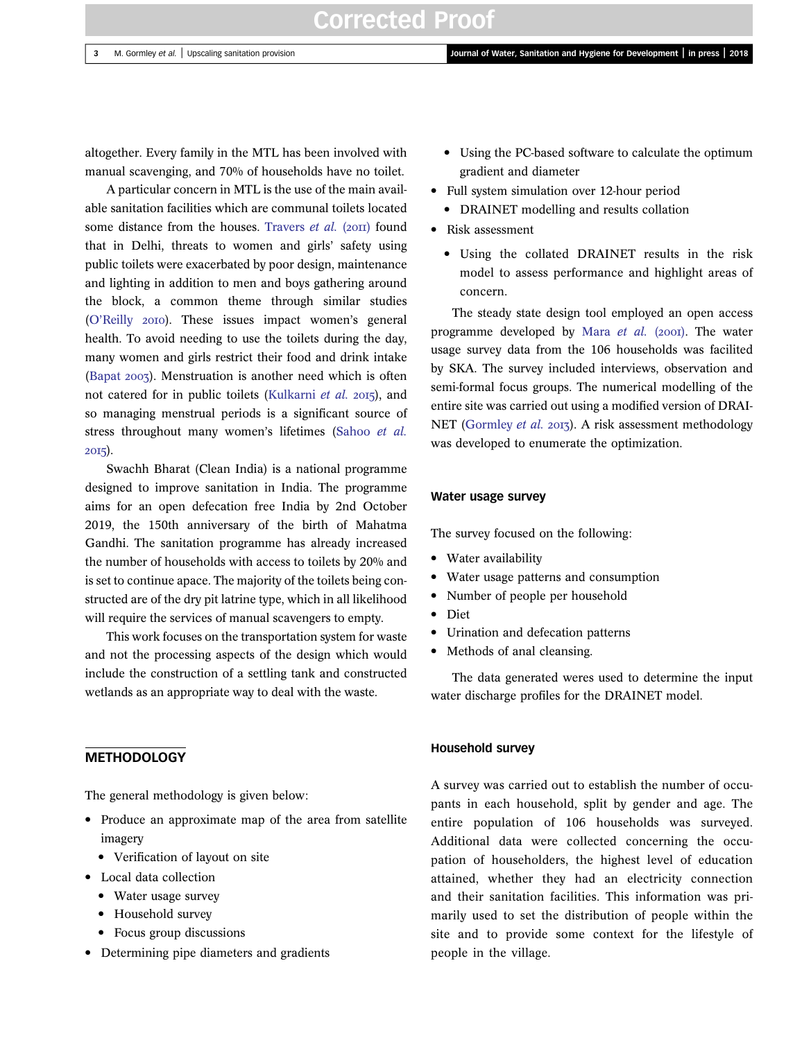altogether. Every family in the MTL has been involved with manual scavenging, and 70% of households have no toilet.

A particular concern in MTL is the use of the main available sanitation facilities which are communal toilets located some distance from the houses. [Travers](#page-10-0) et al.  $(20\text{H})$  found that in Delhi, threats to women and girls' safety using public toilets were exacerbated by poor design, maintenance and lighting in addition to men and boys gathering around the block, a common theme through similar studies (O'[Reilly](#page-10-0) 2010). These issues impact women's general health. To avoid needing to use the toilets during the day, many women and girls restrict their food and drink intake [\(Bapat](#page-10-0) ). Menstruation is another need which is often not catered for in public toilets ([Kulkarni](#page-10-0) et al. 2015), and so managing menstrual periods is a significant source of stress throughout many women's lifetimes ([Sahoo](#page-10-0) et al. 2015).

Swachh Bharat (Clean India) is a national programme designed to improve sanitation in India. The programme aims for an open defecation free India by 2nd October 2019, the 150th anniversary of the birth of Mahatma Gandhi. The sanitation programme has already increased the number of households with access to toilets by 20% and is set to continue apace. The majority of the toilets being constructed are of the dry pit latrine type, which in all likelihood will require the services of manual scavengers to empty.

This work focuses on the transportation system for waste and not the processing aspects of the design which would include the construction of a settling tank and constructed wetlands as an appropriate way to deal with the waste.

# **METHODOLOGY**

The general methodology is given below:

- Produce an approximate map of the area from satellite imagery
	- Verification of layout on site
- Local data collection
	- Water usage survey
	- Household survey
	- Focus group discussions
- Determining pipe diameters and gradients
- Using the PC-based software to calculate the optimum gradient and diameter
- Full system simulation over 12-hour period
	- DRAINET modelling and results collation
- Risk assessment
	- Using the collated DRAINET results in the risk model to assess performance and highlight areas of concern.

The steady state design tool employed an open access programme developed by Mara  $et$  al. (2001). The water usage survey data from the 106 households was facilited by SKA. The survey included interviews, observation and semi-formal focus groups. The numerical modelling of the entire site was carried out using a modified version of DRAI-NET ([Gormley](#page-10-0) et al. 2013). A risk assessment methodology was developed to enumerate the optimization.

#### Water usage survey

The survey focused on the following:

- Water availability
- Water usage patterns and consumption
- Number of people per household
- Diet
- Urination and defecation patterns
- Methods of anal cleansing.

The data generated weres used to determine the input water discharge profiles for the DRAINET model.

#### Household survey

A survey was carried out to establish the number of occupants in each household, split by gender and age. The entire population of 106 households was surveyed. Additional data were collected concerning the occupation of householders, the highest level of education attained, whether they had an electricity connection and their sanitation facilities. This information was primarily used to set the distribution of people within the site and to provide some context for the lifestyle of people in the village.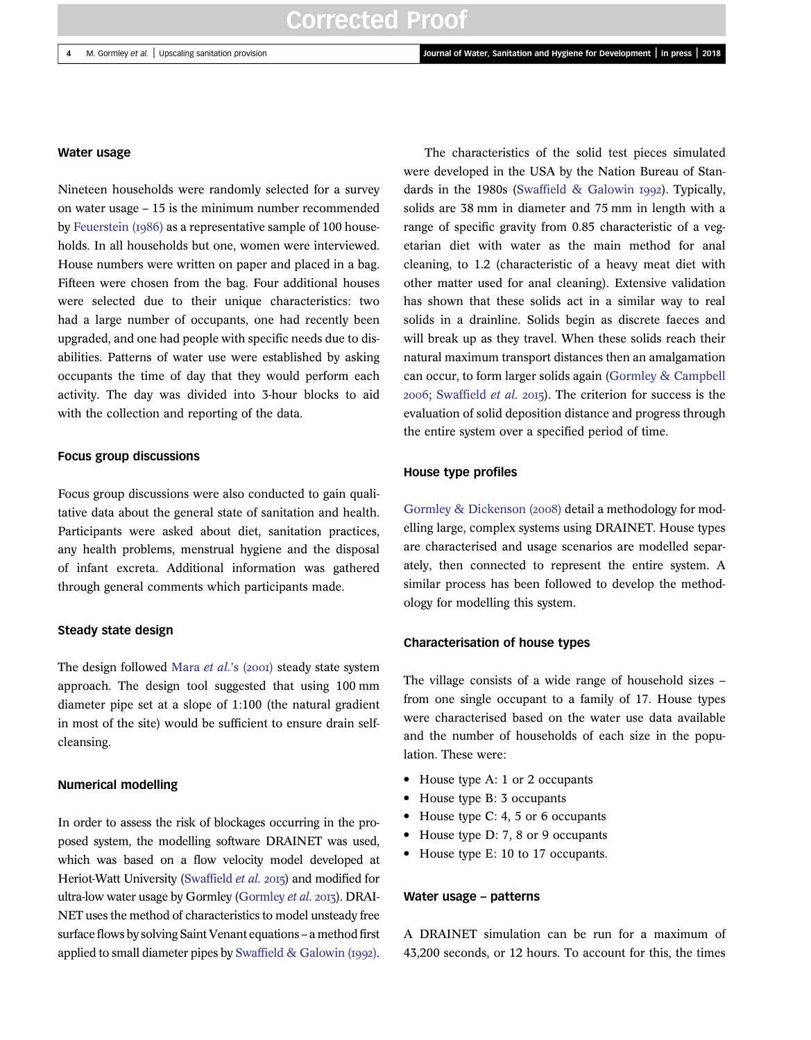#### Water usage

Nineteen households were randomly selected for a survey on water usage – 15 is the minimum number recommended by Feuerstein  $(1986)$  as a representative sample of 100 households. In all households but one, women were interviewed. House numbers were written on paper and placed in a bag. Fifteen were chosen from the bag. Four additional houses were selected due to their unique characteristics: two had a large number of occupants, one had recently been upgraded, and one had people with specific needs due to disabilities. Patterns of water use were established by asking occupants the time of day that they would perform each activity. The day was divided into 3-hour blocks to aid with the collection and reporting of the data.

#### Focus group discussions

Focus group discussions were also conducted to gain qualitative data about the general state of sanitation and health. Participants were asked about diet, sanitation practices, any health problems, menstrual hygiene and the disposal of infant excreta. Additional information was gathered through general comments which participants made.

#### Steady state design

The design followed [Mara](#page-10-0) et al.'s  $(200I)$  steady state system approach. The design tool suggested that using 100 mm diameter pipe set at a slope of 1:100 (the natural gradient in most of the site) would be sufficient to ensure drain selfcleansing.

#### Numerical modelling

In order to assess the risk of blockages occurring in the proposed system, the modelling software DRAINET was used, which was based on a flow velocity model developed at Heriot-Watt University ([Swaffield](#page-10-0) et al. 2015) and modified for ultra-low water usage by Gormley [\(Gormley](#page-10-0) et al. 2013). DRAI-NET uses the method of characteristics to model unsteady free surface flows by solving Saint Venant equations – a method first applied to small diameter pipes by [Swaffield & Galowin \(](#page-10-0)1992).

The characteristics of the solid test pieces simulated were developed in the USA by the Nation Bureau of Standards in the 1980s (Swaffield  $&$  Galowin 1992). Typically, solids are 38 mm in diameter and 75 mm in length with a range of specific gravity from 0.85 characteristic of a vegetarian diet with water as the main method for anal cleaning, to 1.2 (characteristic of a heavy meat diet with other matter used for anal cleaning). Extensive validation has shown that these solids act in a similar way to real solids in a drainline. Solids begin as discrete faeces and will break up as they travel. When these solids reach their natural maximum transport distances then an amalgamation can occur, to form larger solids again [\(Gormley & Campbell](#page-10-0)  $2006$ ; [Swaffield](#page-10-0) *et al.*  $2015$ ). The criterion for success is the evaluation of solid deposition distance and progress through the entire system over a specified period of time.

#### House type profiles

[Gormley & Dickenson \(](#page-10-0)2008) detail a methodology for modelling large, complex systems using DRAINET. House types are characterised and usage scenarios are modelled separately, then connected to represent the entire system. A similar process has been followed to develop the methodology for modelling this system.

#### Characterisation of house types

The village consists of a wide range of household sizes – from one single occupant to a family of 17. House types were characterised based on the water use data available and the number of households of each size in the population. These were:

- House type A: 1 or 2 occupants
- House type B: 3 occupants
- House type C: 4, 5 or 6 occupants
- House type D: 7, 8 or 9 occupants
- House type E: 10 to 17 occupants.

#### Water usage – patterns

A DRAINET simulation can be run for a maximum of 43,200 seconds, or 12 hours. To account for this, the times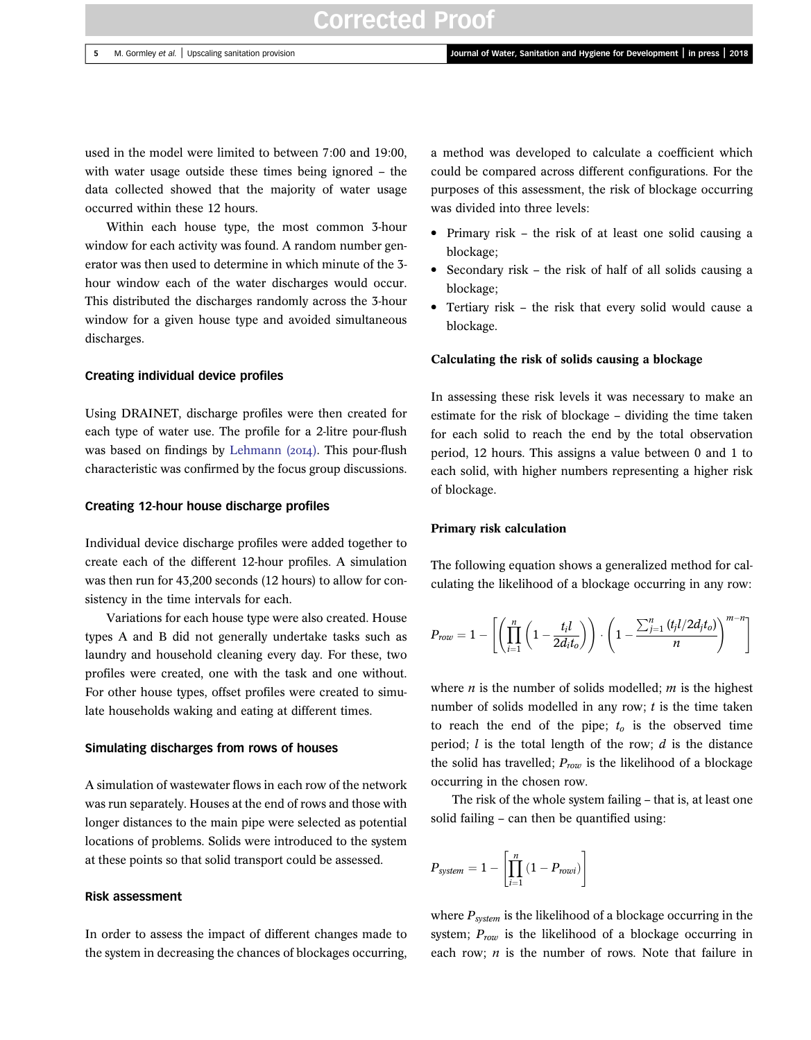used in the model were limited to between 7:00 and 19:00, with water usage outside these times being ignored – the data collected showed that the majority of water usage occurred within these 12 hours.

Within each house type, the most common 3-hour window for each activity was found. A random number generator was then used to determine in which minute of the 3 hour window each of the water discharges would occur. This distributed the discharges randomly across the 3-hour window for a given house type and avoided simultaneous discharges.

#### Creating individual device profiles

Using DRAINET, discharge profiles were then created for each type of water use. The profile for a 2-litre pour-flush was based on findings by Lehmann  $(20I4)$ . This pour-flush characteristic was confirmed by the focus group discussions.

#### Creating 12-hour house discharge profiles

Individual device discharge profiles were added together to create each of the different 12-hour profiles. A simulation was then run for 43,200 seconds (12 hours) to allow for consistency in the time intervals for each.

Variations for each house type were also created. House types A and B did not generally undertake tasks such as laundry and household cleaning every day. For these, two profiles were created, one with the task and one without. For other house types, offset profiles were created to simulate households waking and eating at different times.

#### Simulating discharges from rows of houses

A simulation of wastewater flows in each row of the network was run separately. Houses at the end of rows and those with longer distances to the main pipe were selected as potential locations of problems. Solids were introduced to the system at these points so that solid transport could be assessed.

#### Risk assessment

In order to assess the impact of different changes made to the system in decreasing the chances of blockages occurring, a method was developed to calculate a coefficient which could be compared across different configurations. For the purposes of this assessment, the risk of blockage occurring was divided into three levels:

- Primary risk the risk of at least one solid causing a blockage;
- Secondary risk the risk of half of all solids causing a blockage;
- Tertiary risk the risk that every solid would cause a blockage.

#### Calculating the risk of solids causing a blockage

In assessing these risk levels it was necessary to make an estimate for the risk of blockage – dividing the time taken for each solid to reach the end by the total observation period, 12 hours. This assigns a value between 0 and 1 to each solid, with higher numbers representing a higher risk of blockage.

#### Primary risk calculation

The following equation shows a generalized method for calculating the likelihood of a blockage occurring in any row:

$$
P_{row} = 1 - \left[ \left( \prod_{i=1}^{n} \left( 1 - \frac{t_i l}{2 d_i t_o} \right) \right) \cdot \left( 1 - \frac{\sum_{j=1}^{n} \left( t_j l / 2 d_j t_o \right)}{n} \right)^{m-n} \right]
$$

where *n* is the number of solids modelled; *m* is the highest number of solids modelled in any row;  $t$  is the time taken to reach the end of the pipe;  $t_0$  is the observed time period;  $l$  is the total length of the row;  $d$  is the distance the solid has travelled;  $P_{row}$  is the likelihood of a blockage occurring in the chosen row.

The risk of the whole system failing – that is, at least one solid failing – can then be quantified using:

$$
P_{system} = 1 - \left[ \prod_{i=1}^{n} \left( 1 - P_{rowi} \right) \right]
$$

where  $P_{system}$  is the likelihood of a blockage occurring in the system;  $P_{row}$  is the likelihood of a blockage occurring in each row;  $n$  is the number of rows. Note that failure in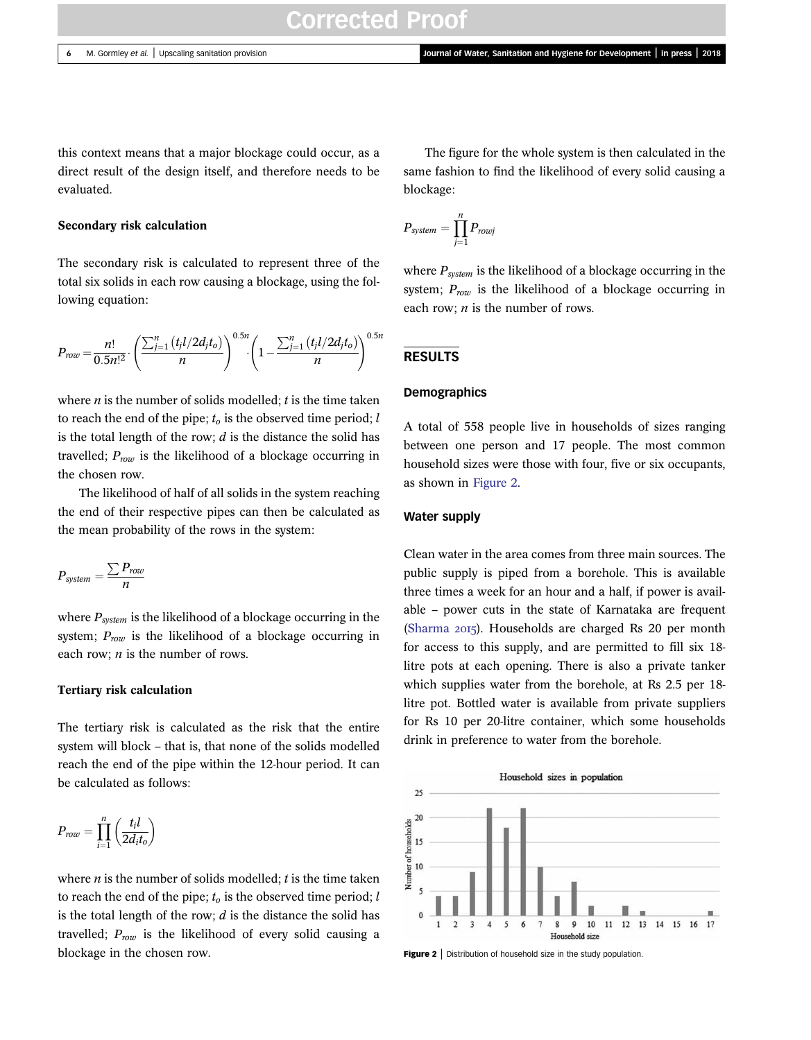this context means that a major blockage could occur, as a direct result of the design itself, and therefore needs to be evaluated.

#### Secondary risk calculation

The secondary risk is calculated to represent three of the total six solids in each row causing a blockage, using the following equation:

$$
P_{row} = \frac{n!}{0.5n!^2} \cdot \left(\frac{\sum_{j=1}^{n} (t_j l/2 d_j t_o)}{n}\right)^{0.5n} \left(1 - \frac{\sum_{j=1}^{n} (t_j l/2 d_j t_o)}{n}\right)^{0.5n}
$$

where  $n$  is the number of solids modelled;  $t$  is the time taken to reach the end of the pipe;  $t_0$  is the observed time period; l is the total length of the row;  $d$  is the distance the solid has travelled;  $P_{row}$  is the likelihood of a blockage occurring in the chosen row.

The likelihood of half of all solids in the system reaching the end of their respective pipes can then be calculated as the mean probability of the rows in the system:

$$
P_{system} = \frac{\sum P_{row}}{n}
$$

where  $P_{system}$  is the likelihood of a blockage occurring in the system;  $P_{row}$  is the likelihood of a blockage occurring in each row;  $n$  is the number of rows.

#### Tertiary risk calculation

The tertiary risk is calculated as the risk that the entire system will block – that is, that none of the solids modelled reach the end of the pipe within the 12-hour period. It can be calculated as follows:

$$
P_{row} = \prod_{i=1}^{n} \left( \frac{t_i l}{2 d_i t_o} \right)
$$

where  $n$  is the number of solids modelled;  $t$  is the time taken to reach the end of the pipe;  $t_0$  is the observed time period; l is the total length of the row;  $d$  is the distance the solid has travelled;  $P_{row}$  is the likelihood of every solid causing a blockage in the chosen row.

The figure for the whole system is then calculated in the same fashion to find the likelihood of every solid causing a blockage:

$$
P_{system} = \prod_{j=1}^{n} P_{rowj}
$$

where  $P_{system}$  is the likelihood of a blockage occurring in the system;  $P_{row}$  is the likelihood of a blockage occurring in each row;  $n$  is the number of rows.

#### RESULTS

#### Demographics

A total of 558 people live in households of sizes ranging between one person and 17 people. The most common household sizes were those with four, five or six occupants, as shown in Figure 2.

#### Water supply

Clean water in the area comes from three main sources. The public supply is piped from a borehole. This is available three times a week for an hour and a half, if power is available – power cuts in the state of Karnataka are frequent ([Sharma](#page-10-0) 2015). Households are charged Rs 20 per month for access to this supply, and are permitted to fill six 18 litre pots at each opening. There is also a private tanker which supplies water from the borehole, at Rs 2.5 per 18 litre pot. Bottled water is available from private suppliers for Rs 10 per 20-litre container, which some households drink in preference to water from the borehole.



Figure 2 | Distribution of household size in the study population.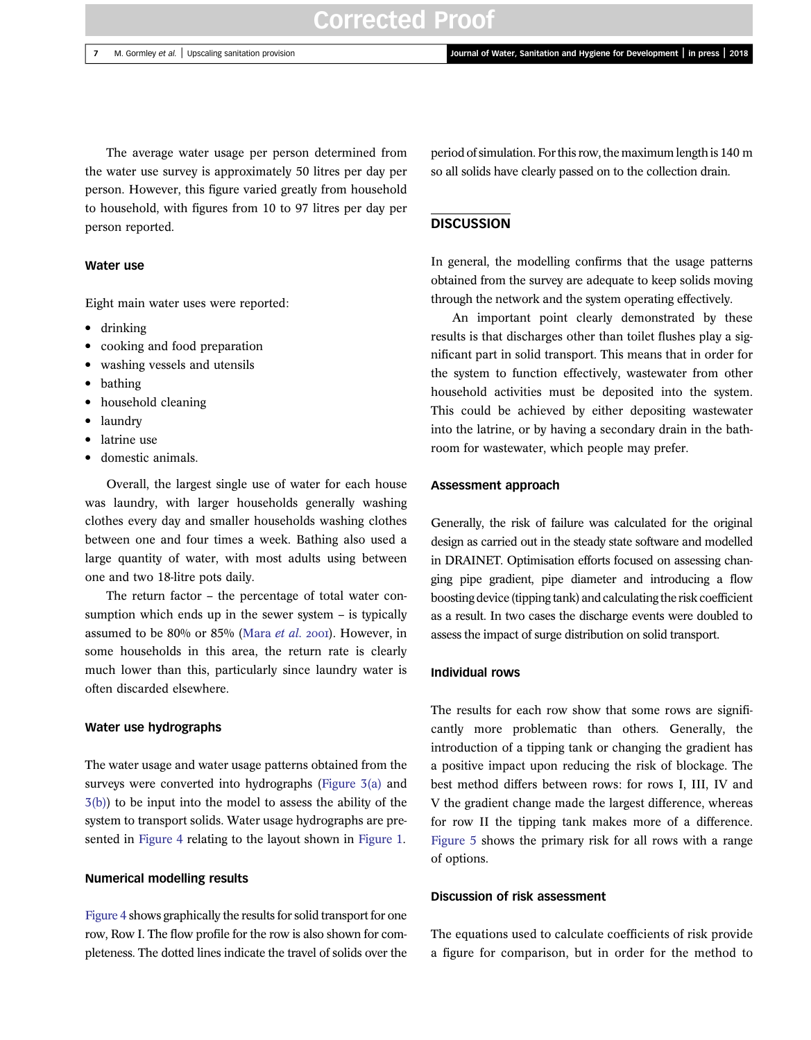The average water usage per person determined from the water use survey is approximately 50 litres per day per person. However, this figure varied greatly from household to household, with figures from 10 to 97 litres per day per person reported.

## Water use

Eight main water uses were reported:

- drinking
- cooking and food preparation
- washing vessels and utensils
- bathing
- household cleaning
- laundry
- latrine use
- domestic animals.

Overall, the largest single use of water for each house was laundry, with larger households generally washing clothes every day and smaller households washing clothes between one and four times a week. Bathing also used a large quantity of water, with most adults using between one and two 18-litre pots daily.

The return factor – the percentage of total water consumption which ends up in the sewer system – is typically assumed to be 80% or 85% [\(Mara](#page-10-0) et al. 2001). However, in some households in this area, the return rate is clearly much lower than this, particularly since laundry water is often discarded elsewhere.

#### Water use hydrographs

The water usage and water usage patterns obtained from the surveys were converted into hydrographs ([Figure 3\(a\)](#page-7-0) and [3\(b\)](#page-7-0)) to be input into the model to assess the ability of the system to transport solids. Water usage hydrographs are presented in [Figure 4](#page-8-0) relating to the layout shown in [Figure 1.](#page-1-0)

#### Numerical modelling results

[Figure 4](#page-8-0) shows graphically the results for solid transport for one row, Row I. The flow profile for the row is also shown for completeness. The dotted lines indicate the travel of solids over the

period of simulation. For this row, the maximum length is 140 m so all solids have clearly passed on to the collection drain.

#### **DISCUSSION**

In general, the modelling confirms that the usage patterns obtained from the survey are adequate to keep solids moving through the network and the system operating effectively.

An important point clearly demonstrated by these results is that discharges other than toilet flushes play a significant part in solid transport. This means that in order for the system to function effectively, wastewater from other household activities must be deposited into the system. This could be achieved by either depositing wastewater into the latrine, or by having a secondary drain in the bathroom for wastewater, which people may prefer.

## Assessment approach

Generally, the risk of failure was calculated for the original design as carried out in the steady state software and modelled in DRAINET. Optimisation efforts focused on assessing changing pipe gradient, pipe diameter and introducing a flow boosting device (tipping tank) and calculating the risk coefficient as a result. In two cases the discharge events were doubled to assess the impact of surge distribution on solid transport.

## Individual rows

The results for each row show that some rows are significantly more problematic than others. Generally, the introduction of a tipping tank or changing the gradient has a positive impact upon reducing the risk of blockage. The best method differs between rows: for rows I, III, IV and V the gradient change made the largest difference, whereas for row II the tipping tank makes more of a difference. [Figure 5](#page-9-0) shows the primary risk for all rows with a range of options.

### Discussion of risk assessment

The equations used to calculate coefficients of risk provide a figure for comparison, but in order for the method to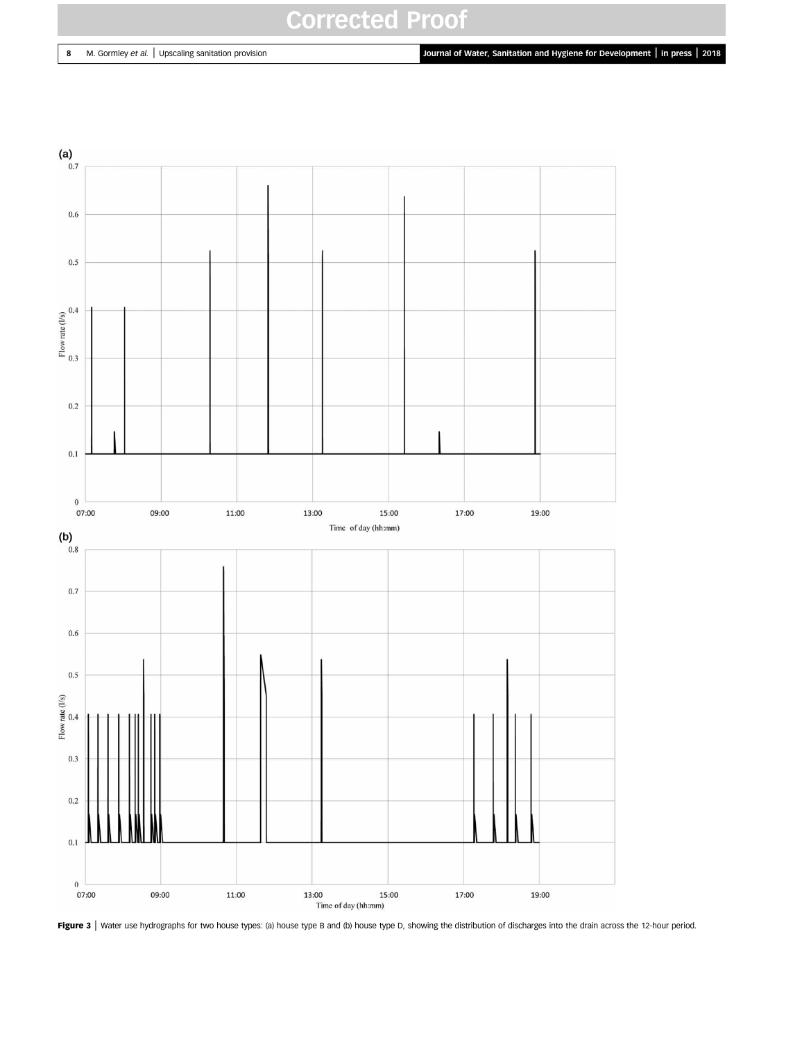<span id="page-7-0"></span>8 M. Gormley et al. | Upscaling sanitation provision **Journal of Water, Sanitation and Hygiene for Development | in press | 2018** 



Figure 3 | Water use hydrographs for two house types: (a) house type B and (b) house type D, showing the distribution of discharges into the drain across the 12-hour period.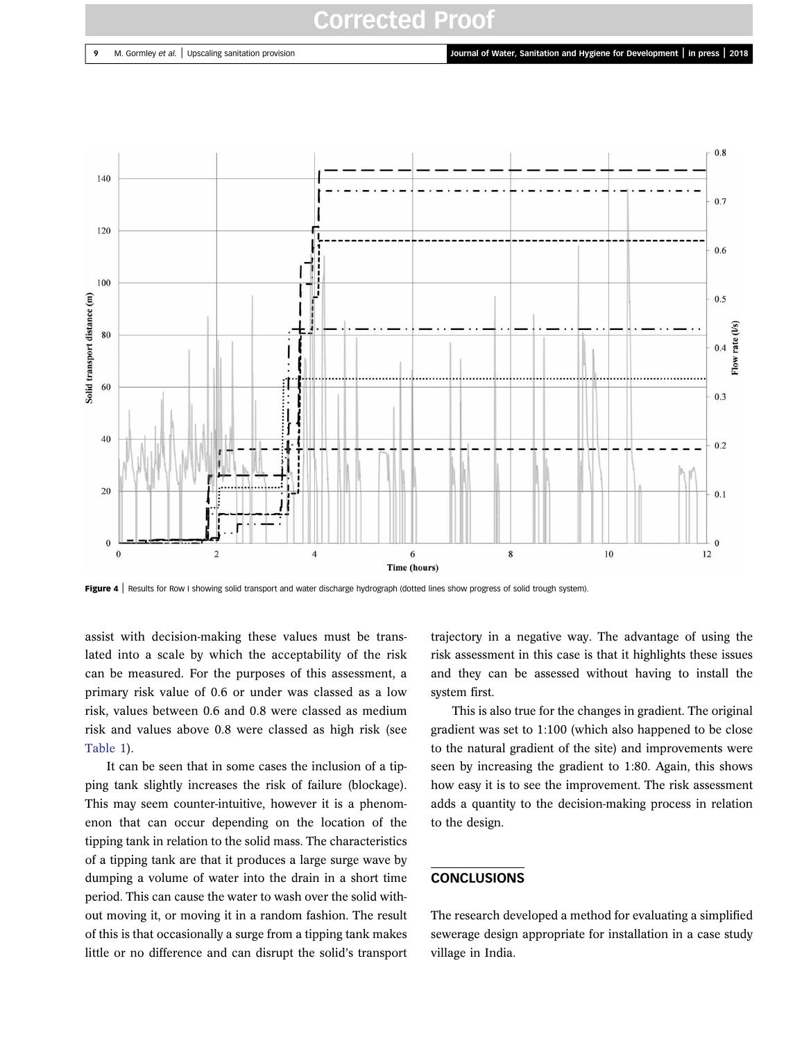

Figure 4 | Results for Row I showing solid transport and water discharge hydrograph (dotted lines show progress of solid trough system).

assist with decision-making these values must be translated into a scale by which the acceptability of the risk can be measured. For the purposes of this assessment, a primary risk value of 0.6 or under was classed as a low risk, values between 0.6 and 0.8 were classed as medium risk and values above 0.8 were classed as high risk (see [Table 1](#page-9-0)).

It can be seen that in some cases the inclusion of a tipping tank slightly increases the risk of failure (blockage). This may seem counter-intuitive, however it is a phenomenon that can occur depending on the location of the tipping tank in relation to the solid mass. The characteristics of a tipping tank are that it produces a large surge wave by dumping a volume of water into the drain in a short time period. This can cause the water to wash over the solid without moving it, or moving it in a random fashion. The result of this is that occasionally a surge from a tipping tank makes little or no difference and can disrupt the solid's transport

trajectory in a negative way. The advantage of using the risk assessment in this case is that it highlights these issues and they can be assessed without having to install the system first.

This is also true for the changes in gradient. The original gradient was set to 1:100 (which also happened to be close to the natural gradient of the site) and improvements were seen by increasing the gradient to 1:80. Again, this shows how easy it is to see the improvement. The risk assessment adds a quantity to the decision-making process in relation to the design.

## **CONCLUSIONS**

The research developed a method for evaluating a simplified sewerage design appropriate for installation in a case study village in India.

<span id="page-8-0"></span>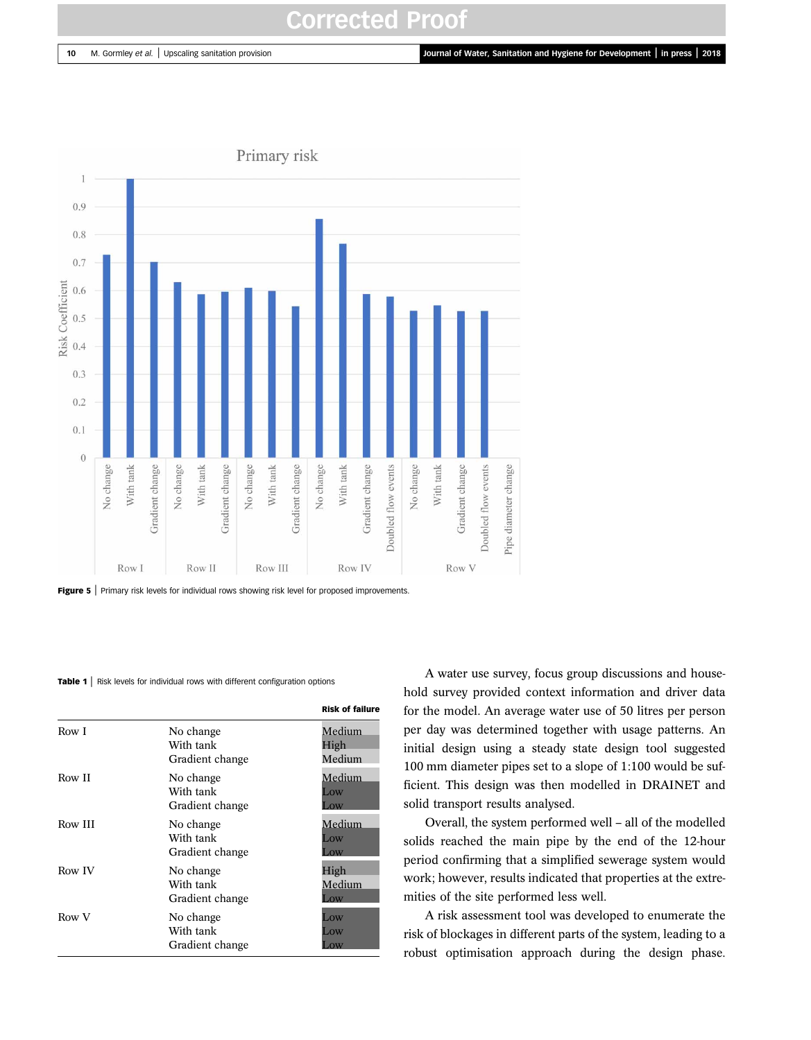<span id="page-9-0"></span><sup>10</sup> M. Gormley et al. <sup>|</sup> Upscaling sanitation provision Journal of Water, Sanitation and Hygiene for Development <sup>|</sup> in press <sup>|</sup> <sup>2018</sup>



Figure 5 | Primary risk levels for individual rows showing risk level for proposed improvements.

#### Table 1 | Risk levels for individual rows with different configuration options

|         |                                           | <b>Risk of failure</b>           |
|---------|-------------------------------------------|----------------------------------|
| Row I   | No change<br>With tank<br>Gradient change | Medium<br>High<br>Medium         |
| Row II  | No change<br>With tank<br>Gradient change | Medium<br>Low<br>$\overline{OW}$ |
| Row III | No change<br>With tank<br>Gradient change | Medium<br>Low<br>$\alpha$        |
| Row IV  | No change<br>With tank<br>Gradient change | High<br>Medium<br>$\alpha$       |
| Row V   | No change<br>With tank<br>Gradient change | Low<br>Low<br>$\alpha$           |

A water use survey, focus group discussions and household survey provided context information and driver data for the model. An average water use of 50 litres per person per day was determined together with usage patterns. An initial design using a steady state design tool suggested 100 mm diameter pipes set to a slope of 1:100 would be sufficient. This design was then modelled in DRAINET and solid transport results analysed.

Overall, the system performed well – all of the modelled solids reached the main pipe by the end of the 12-hour period confirming that a simplified sewerage system would work; however, results indicated that properties at the extremities of the site performed less well.

A risk assessment tool was developed to enumerate the risk of blockages in different parts of the system, leading to a robust optimisation approach during the design phase.